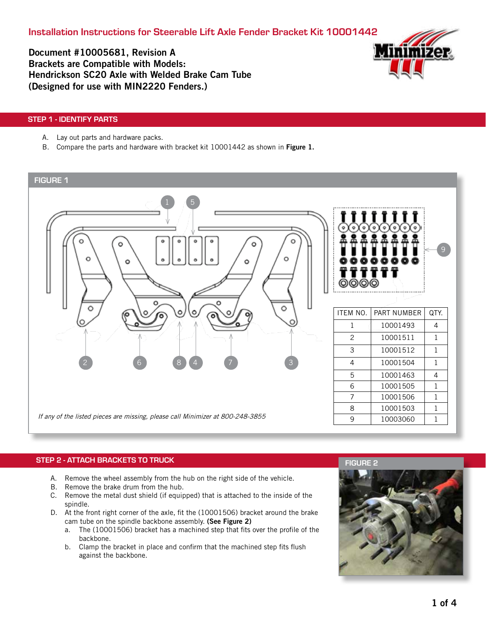Installation Instructions for Steerable Lift Axle Fender Bracket Kit 10001442

Document #10005681, Revision A Brackets are Compatible with Models: Hendrickson SC20 Axle with Welded Brake Cam Tube (Designed for use with MIN2220 Fenders.)



## STEP 1 - IDENTIFY PARTS

- A. Lay out parts and hardware packs.
- B. Compare the parts and hardware with bracket kit 10001442 as shown in Figure 1.

# FIGURE 1



### STEP 2 - ATTACH BRACKETS TO TRUCK

- A. Remove the wheel assembly from the hub on the right side of the vehicle.
- B. Remove the brake drum from the hub.
- C. Remove the metal dust shield (if equipped) that is attached to the inside of the spindle.
- D. At the front right corner of the axle, fit the (10001506) bracket around the brake cam tube on the spindle backbone assembly. (See Figure 2)
	- a. The (10001506) bracket has a machined step that fits over the profile of the backbone.
	- b. Clamp the bracket in place and confirm that the machined step fits flush against the backbone.

### FIGURE 2

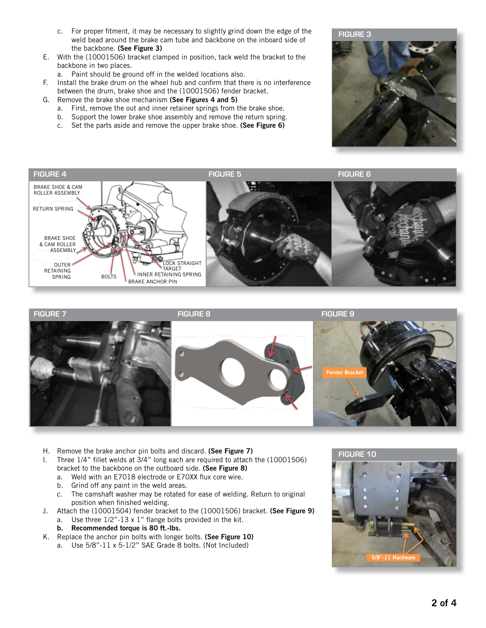- c. For proper fitment, it may be necessary to slightly grind down the edge of the weld bead around the brake cam tube and backbone on the inboard side of the backbone. (See Figure 3)
- E. With the (10001506) bracket clamped in position, tack weld the bracket to the backbone in two places.
	- a. Paint should be ground off in the welded locations also.
- F. Install the brake drum on the wheel hub and confirm that there is no interference between the drum, brake shoe and the (10001506) fender bracket.
- G. Remove the brake shoe mechanism (See Figures 4 and 5)
	- a. First, remove the out and inner retainer springs from the brake shoe.
	- b. Support the lower brake shoe assembly and remove the return spring.
	- c. Set the parts aside and remove the upper brake shoe. (See Figure 6)







- H. Remove the brake anchor pin bolts and discard. (See Figure 7)
- I. Three 1/4" fillet welds at 3/4" long each are required to attach the (10001506) bracket to the backbone on the outboard side. (See Figure 8)
	- a. Weld with an E7018 electrode or E70XX flux core wire.
	- b. Grind off any paint in the weld areas.
	- c. The camshaft washer may be rotated for ease of welding. Return to original position when finished welding.
- J. Attach the (10001504) fender bracket to the (10001506) bracket. (See Figure 9) a. Use three 1/2"-13 x 1" flange bolts provided in the kit.
	- b. Recommended torque is 80 ft.-lbs.
- K. Replace the anchor pin bolts with longer bolts. (See Figure 10)
	- a. Use 5/8"-11 x 5-1/2" SAE Grade 8 bolts. (Not Included)

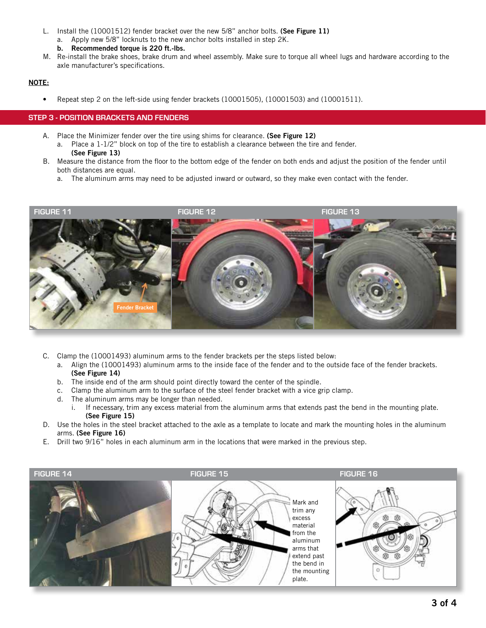- L. Install the (10001512) fender bracket over the new 5/8" anchor bolts. (See Figure 11)
	- a. Apply new 5/8" locknuts to the new anchor bolts installed in step 2K.
	- b. Recommended torque is 220 ft.-lbs.
- M. Re-install the brake shoes, brake drum and wheel assembly. Make sure to torque all wheel lugs and hardware according to the axle manufacturer's specifications.

# NOTE:

• Repeat step 2 on the left-side using fender brackets (10001505), (10001503) and (10001511).

### STEP 3 - POSITION BRACKETS AND FENDERS

- A. Place the Minimizer fender over the tire using shims for clearance. (See Figure 12)
	- a. Place a 1-1/2" block on top of the tire to establish a clearance between the tire and fender. (See Figure 13)
- B. Measure the distance from the floor to the bottom edge of the fender on both ends and adjust the position of the fender until both distances are equal.
	- a. The aluminum arms may need to be adjusted inward or outward, so they make even contact with the fender.



- C. Clamp the (10001493) aluminum arms to the fender brackets per the steps listed below:
	- a. Align the (10001493) aluminum arms to the inside face of the fender and to the outside face of the fender brackets. (See Figure 14)
	- b. The inside end of the arm should point directly toward the center of the spindle.
	- c. Clamp the aluminum arm to the surface of the steel fender bracket with a vice grip clamp.
	- d. The aluminum arms may be longer than needed.
		- i. If necessary, trim any excess material from the aluminum arms that extends past the bend in the mounting plate. (See Figure 15)
- D. Use the holes in the steel bracket attached to the axle as a template to locate and mark the mounting holes in the aluminum arms. (See Figure 16)
- E. Drill two 9/16" holes in each aluminum arm in the locations that were marked in the previous step.